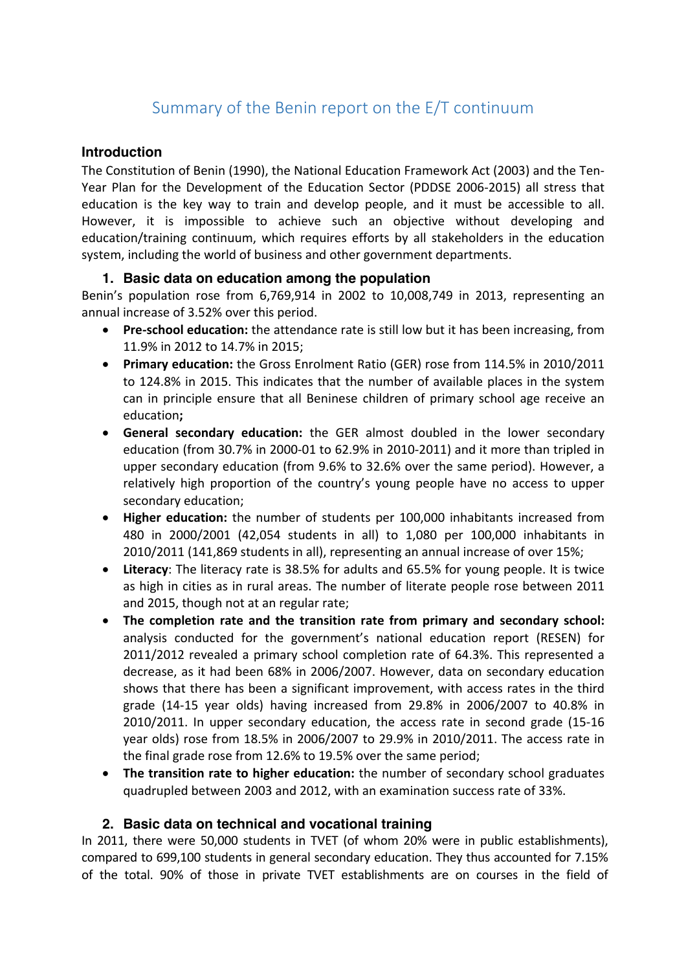# Summary of the Benin report on the E/T continuum

#### **Introduction**

The Constitution of Benin (1990), the National Education Framework Act (2003) and the Ten-Year Plan for the Development of the Education Sector (PDDSE 2006-2015) all stress that education is the key way to train and develop people, and it must be accessible to all. However, it is impossible to achieve such an objective without developing and education/training continuum, which requires efforts by all stakeholders in the education system, including the world of business and other government departments.

#### **1. Basic data on education among the population**

Benin's population rose from  $6,769,914$  in  $2002$  to  $10,008,749$  in  $2013$ , representing an annual increase of 3.52% over this period.

- **Pre-school education:** the attendance rate is still low but it has been increasing, from 11.9% in 2012 to 14.7% in 2015:
- **Primary education:** the Gross Enrolment Ratio (GER) rose from 114.5% in 2010/2011 to 124.8% in 2015. This indicates that the number of available places in the system can in principle ensure that all Beninese children of primary school age receive an education**;**
- General secondary education: the GER almost doubled in the lower secondary education (from  $30.7\%$  in 2000-01 to 62.9% in 2010-2011) and it more than tripled in upper secondary education (from 9.6% to 32.6% over the same period). However, a relatively high proportion of the country's young people have no access to upper secondary education;
- **Higher education:** the number of students per 100,000 inhabitants increased from 480 in 2000/2001 (42,054 students in all) to 1,080 per 100,000 inhabitants in 2010/2011 (141,869 students in all), representing an annual increase of over 15%;
- Literacy: The literacy rate is 38.5% for adults and 65.5% for young people. It is twice as high in cities as in rural areas. The number of literate people rose between 2011 and 2015, though not at an regular rate;
- The completion rate and the transition rate from primary and secondary school: analysis conducted for the government's national education report (RESEN) for 2011/2012 revealed a primary school completion rate of 64.3%. This represented a decrease, as it had been 68% in 2006/2007. However, data on secondary education shows that there has been a significant improvement, with access rates in the third grade  $(14-15 \text{ year}$  olds) having increased from  $29.8\%$  in  $2006/2007$  to  $40.8\%$  in 2010/2011. In upper secondary education, the access rate in second grade (15-16 year olds) rose from 18.5% in 2006/2007 to 29.9% in 2010/2011. The access rate in the final grade rose from 12.6% to 19.5% over the same period;
- The transition rate to higher education: the number of secondary school graduates quadrupled between 2003 and 2012, with an examination success rate of 33%.

## **2. Basic data on technical and vocational training**

In 2011, there were 50,000 students in TVET (of whom 20% were in public establishments), compared to 699,100 students in general secondary education. They thus accounted for 7.15% of the total. 90% of those in private TVET establishments are on courses in the field of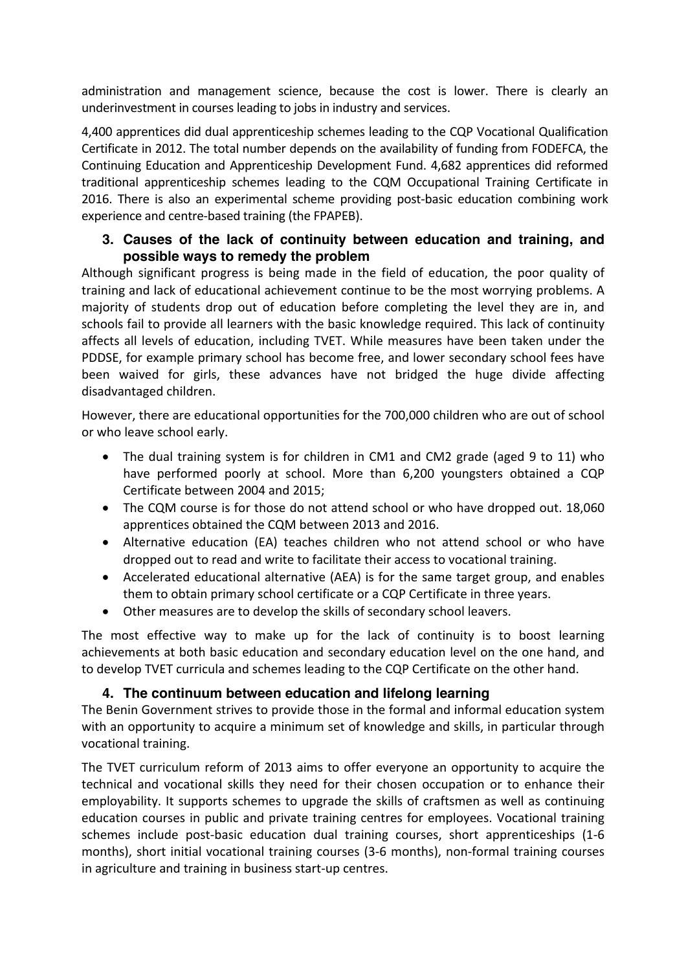administration and management science, because the cost is lower. There is clearly an underinvestment in courses leading to jobs in industry and services.

4,400 apprentices did dual apprenticeship schemes leading to the CQP Vocational Qualification Certificate in 2012. The total number depends on the availability of funding from FODEFCA, the Continuing Education and Apprenticeship Development Fund. 4,682 apprentices did reformed traditional apprenticeship schemes leading to the CQM Occupational Training Certificate in 2016. There is also an experimental scheme providing post-basic education combining work experience and centre-based training (the FPAPEB).

#### **3. Causes of the lack of continuity between education and training, and possible ways to remedy the problem**

Although significant progress is being made in the field of education, the poor quality of training and lack of educational achievement continue to be the most worrying problems. A majority of students drop out of education before completing the level they are in, and schools fail to provide all learners with the basic knowledge required. This lack of continuity affects all levels of education, including TVET. While measures have been taken under the PDDSE, for example primary school has become free, and lower secondary school fees have been waived for girls, these advances have not bridged the huge divide affecting disadvantaged children.

However, there are educational opportunities for the 700,000 children who are out of school or who leave school early.

- The dual training system is for children in CM1 and CM2 grade (aged 9 to 11) who have performed poorly at school. More than 6,200 youngsters obtained a CQP Certificate between 2004 and 2015;
- The CQM course is for those do not attend school or who have dropped out. 18,060 apprentices obtained the CQM between 2013 and 2016.
- Alternative education (EA) teaches children who not attend school or who have dropped out to read and write to facilitate their access to vocational training.
- Accelerated educational alternative (AEA) is for the same target group, and enables them to obtain primary school certificate or a CQP Certificate in three years.
- Other measures are to develop the skills of secondary school leavers.

The most effective way to make up for the lack of continuity is to boost learning achievements at both basic education and secondary education level on the one hand, and to develop TVET curricula and schemes leading to the CQP Certificate on the other hand.

## **4. The continuum between education and lifelong learning**

The Benin Government strives to provide those in the formal and informal education system with an opportunity to acquire a minimum set of knowledge and skills, in particular through vocational training.

The TVET curriculum reform of 2013 aims to offer everyone an opportunity to acquire the technical and vocational skills they need for their chosen occupation or to enhance their employability. It supports schemes to upgrade the skills of craftsmen as well as continuing education courses in public and private training centres for employees. Vocational training schemes include post-basic education dual training courses, short apprenticeships (1-6 months), short initial vocational training courses (3-6 months), non-formal training courses in agriculture and training in business start-up centres.